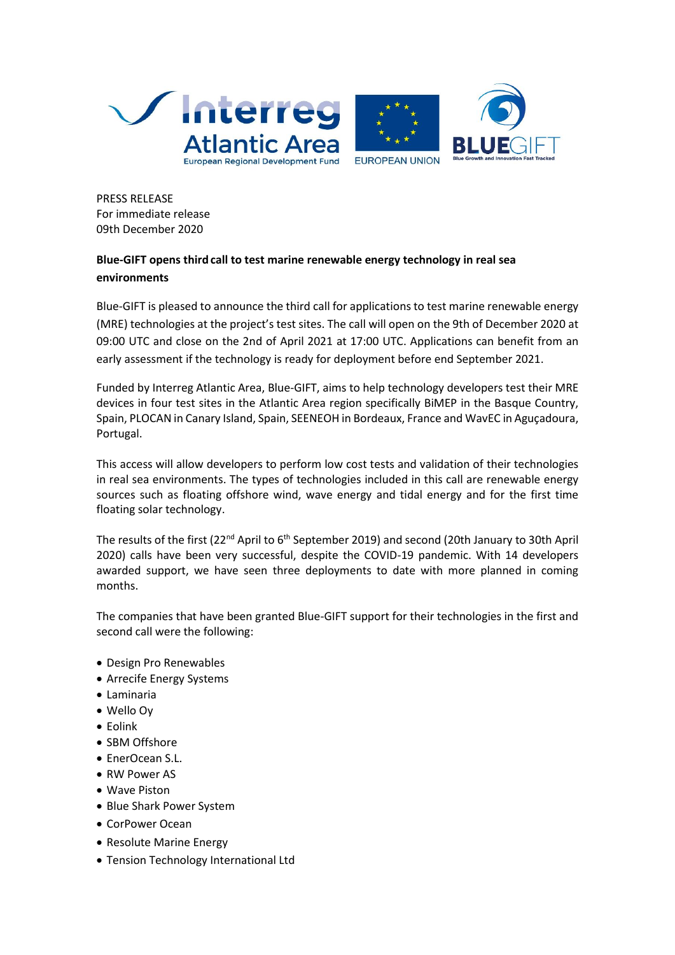

PRESS RELEASE For immediate release 09th December 2020

# **Blue-GIFT opens thirdcall to test marine renewable energy technology in real sea environments**

Blue-GIFT is pleased to announce the third call for applications to test marine renewable energy (MRE) technologies at the project's test sites. The call will open on the 9th of December 2020 at 09:00 UTC and close on the 2nd of April 2021 at 17:00 UTC. Applications can benefit from an early assessment if the technology is ready for deployment before end September 2021.

Funded by Interreg Atlantic Area, Blue-GIFT, aims to help technology developers test their MRE devices in four test sites in the Atlantic Area region specifically BiMEP in the Basque Country, Spain, PLOCAN in Canary Island, Spain, SEENEOH in Bordeaux, France and WavEC in Aguçadoura, Portugal.

This access will allow developers to perform low cost tests and validation of their technologies in real sea environments. The types of technologies included in this call are renewable energy sources such as floating offshore wind, wave energy and tidal energy and for the first time floating solar technology.

The results of the first (22<sup>nd</sup> April to 6<sup>th</sup> September 2019) and second (20th January to 30th April 2020) calls have been very successful, despite the COVID-19 pandemic. With 14 developers awarded support, we have seen three deployments to date with more planned in coming months.

The companies that have been granted Blue-GIFT support for their technologies in the first and second call were the following:

- Design Pro Renewables
- Arrecife Energy Systems
- Laminaria
- Wello Oy
- Eolink
- SBM Offshore
- EnerOcean S.L.
- RW Power AS
- Wave Piston
- Blue Shark Power System
- CorPower Ocean
- Resolute Marine Energy
- Tension Technology International Ltd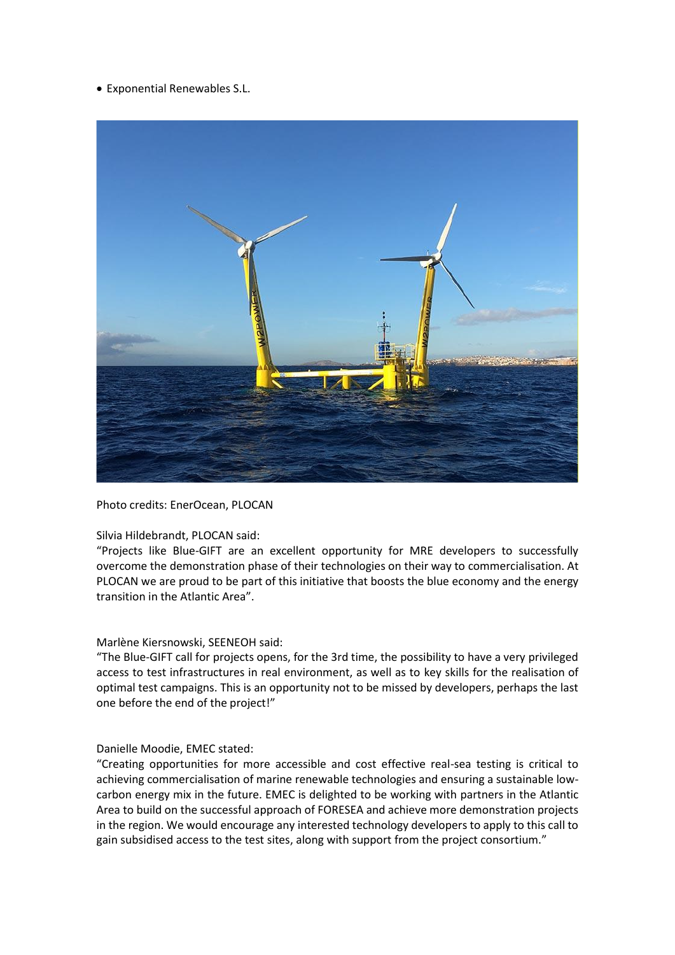• Exponential Renewables S.L.



Photo credits: EnerOcean, PLOCAN

## Silvia Hildebrandt, PLOCAN said:

"Projects like Blue-GIFT are an excellent opportunity for MRE developers to successfully overcome the demonstration phase of their technologies on their way to commercialisation. At PLOCAN we are proud to be part of this initiative that boosts the blue economy and the energy transition in the Atlantic Area".

#### Marlène Kiersnowski, SEENEOH said:

"The Blue-GIFT call for projects opens, for the 3rd time, the possibility to have a very privileged access to test infrastructures in real environment, as well as to key skills for the realisation of optimal test campaigns. This is an opportunity not to be missed by developers, perhaps the last one before the end of the project!"

#### Danielle Moodie, EMEC stated:

"Creating opportunities for more accessible and cost effective real-sea testing is critical to achieving commercialisation of marine renewable technologies and ensuring a sustainable lowcarbon energy mix in the future. EMEC is delighted to be working with partners in the Atlantic Area to build on the successful approach of FORESEA and achieve more demonstration projects in the region. We would encourage any interested technology developers to apply to this call to gain subsidised access to the test sites, along with support from the project consortium."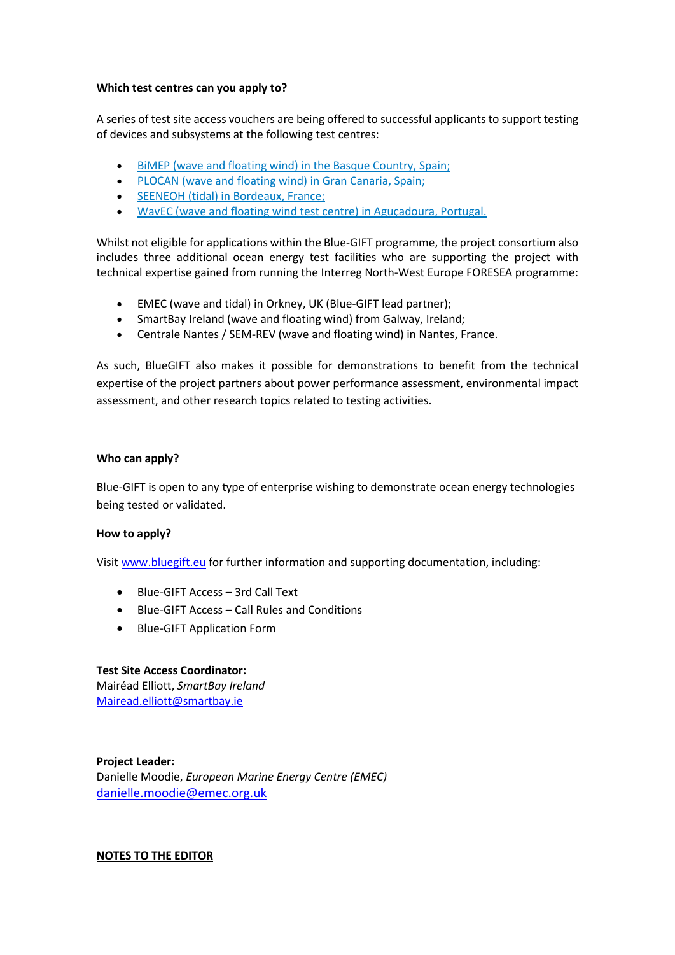#### **Which test centres can you apply to?**

A series of test site access vouchers are being offered to successful applicants to support testing of devices and subsystems at the following test centres:

- [BiMEP \(wave and floating wind\) in the Basque Country, Spain;](https://bluegift.eu/wp-content/uploads/2019/04/bluegift-test-sites-technical-info-table-test-sites-open.pdf)
- [PLOCAN \(wave and floating wind\) in Gran Canaria, Spain;](https://bluegift.eu/wp-content/uploads/2019/04/bluegift-test-sites-technical-info-table-test-sites-open.pdf)
- [SEENEOH \(tidal\) in Bordeaux, France;](https://bluegift.eu/wp-content/uploads/2019/04/bluegift-test-sites-technical-info-table-test-sites-open.pdf)
- [WavEC \(wave and floating wind test centre\) in Aguçadoura, Portugal.](https://bluegift.eu/wp-content/uploads/2019/04/bluegift-test-sites-technical-info-table-test-sites-open.pdf)

Whilst not eligible for applications within the Blue-GIFT programme, the project consortium also includes three additional ocean energy test facilities who are supporting the project with technical expertise gained from running the Interreg North-West Europe FORESEA programme:

- EMEC (wave and tidal) in Orkney, UK (Blue-GIFT lead partner);
- SmartBay Ireland (wave and floating wind) from Galway, Ireland;
- Centrale Nantes / SEM-REV (wave and floating wind) in Nantes, France.

As such, BlueGIFT also makes it possible for demonstrations to benefit from the technical expertise of the project partners about power performance assessment, environmental impact assessment, and other research topics related to testing activities.

#### **Who can apply?**

Blue-GIFT is open to any type of enterprise wishing to demonstrate ocean energy technologies being tested or validated.

## **How to apply?**

Visit [www.bluegift.eu](http://www.bluegift.eut/) for further information and supporting documentation, including:

- Blue-GIFT Access 3rd Call Text
- Blue-GIFT Access Call Rules and Conditions
- Blue-GIFT Application Form

## **Test Site Access Coordinator:**

Mairéad Elliott, *SmartBay Ireland* [Mairead.elliott@smartbay.ie](mailto:Mairead.elliott@smartbay.ie)

**Project Leader:** Danielle Moodie, *European Marine Energy Centre (EMEC)* [danielle.moodie@emec.org.uk](mailto:danielle.moodie@emec.org.uk)

## **NOTES TO THE EDITOR**